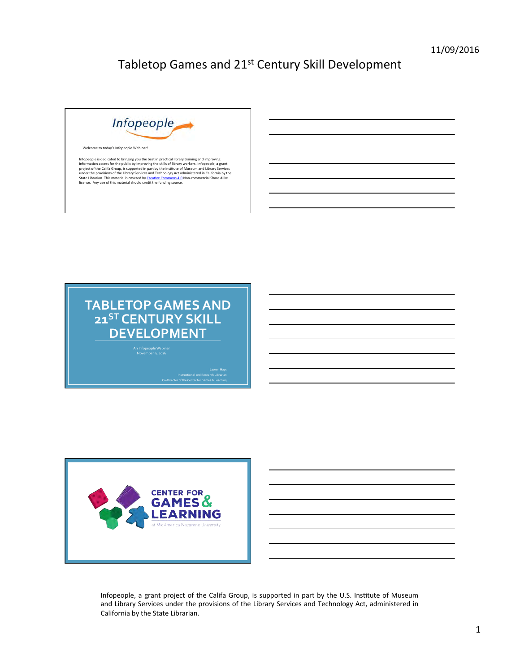





| Infopeople, a grant project of the Califa Group, is supported in part by the U.S. Institute of Museum |
|-------------------------------------------------------------------------------------------------------|
| and Library Services under the provisions of the Library Services and Technology Act, administered in |
| California by the State Librarian.                                                                    |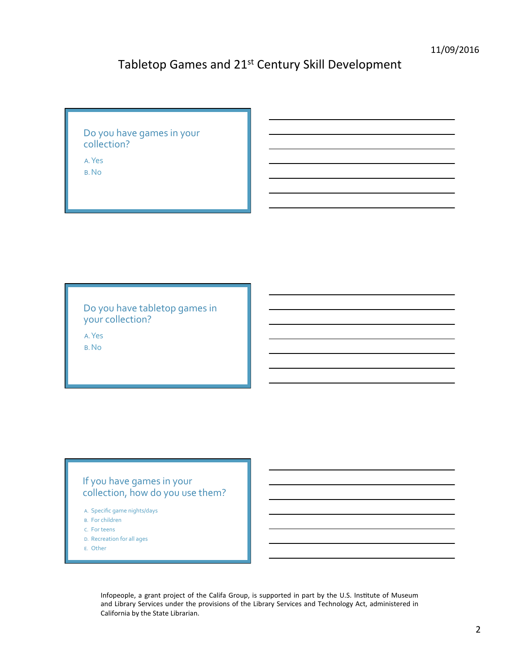## Do you have games in your collection?

A.Yes 

B.No 

Do you have tabletop games in your collection?

A.Yes B.No 

## If you have games in your collection, how do you use them?

- A. Specific game nights/days
- B. For children
- C. For teens
- D. Recreation for all ages
- E. Other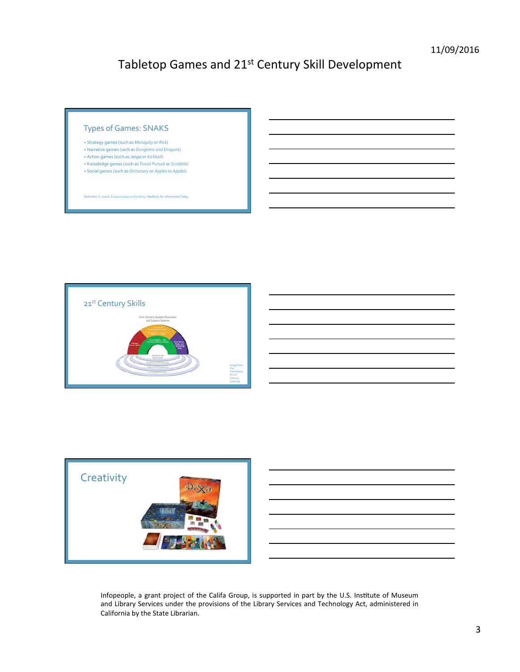### Types of Games: SNAKS

- Strategy games (such as *Monopoly* or *Risk*)
- Narrative games (such as *Dungeons and Dragons*) • Action games (such as *Jenga* or *Kickball*)
- Knowledge games (such as *Trivial Pursuit* or *Scrabble*)
- Social games (such as *Dictionary* or *Apples to Apples*)

n<sub>i</sub> S. (2010). *Everyone plays at the library.* Medford, NJ: Inform



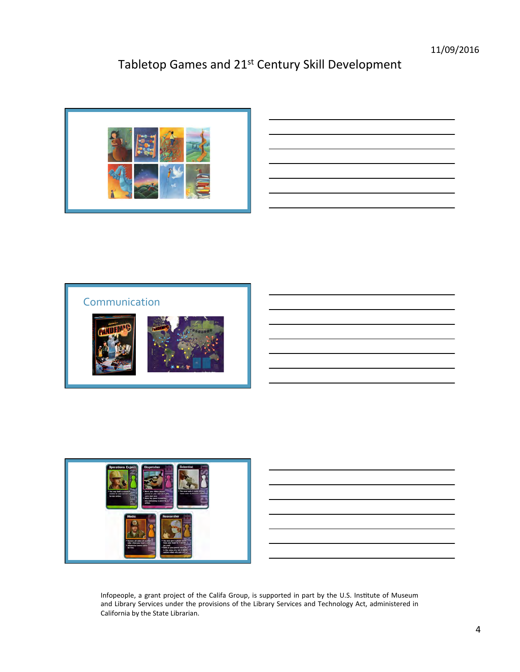







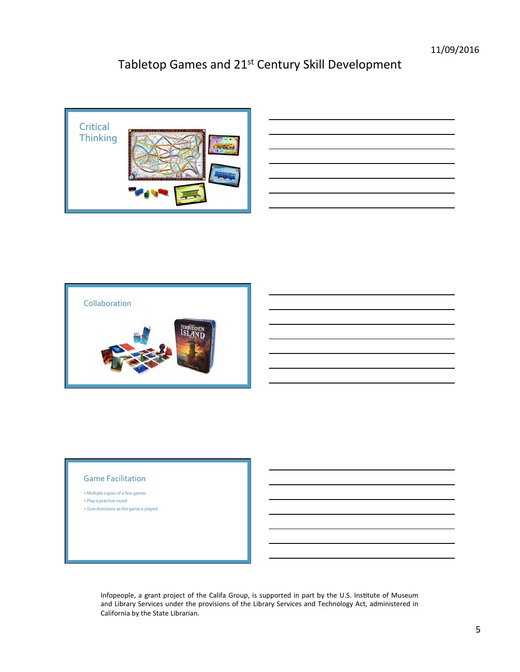

| and the contract of the contract of the contract of the contract of the contract of the contract of the contract of |        |
|---------------------------------------------------------------------------------------------------------------------|--------|
|                                                                                                                     |        |
|                                                                                                                     | __     |
|                                                                                                                     | _____  |
|                                                                                                                     | ______ |
|                                                                                                                     |        |



### **Game Facilitation**

- Multiple copies of a few games • Play a practice round
- Give directions as the game is played